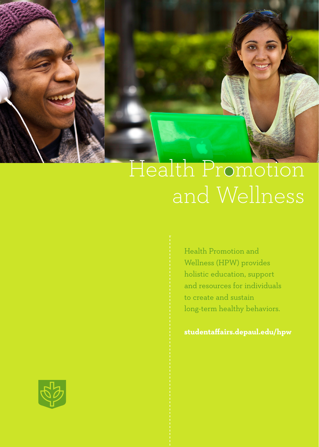

# Health Promotion

Health Promotion and Wellness (HPW) provides holistic education, support and resources for individuals to create and sustain long-term healthy behaviors.